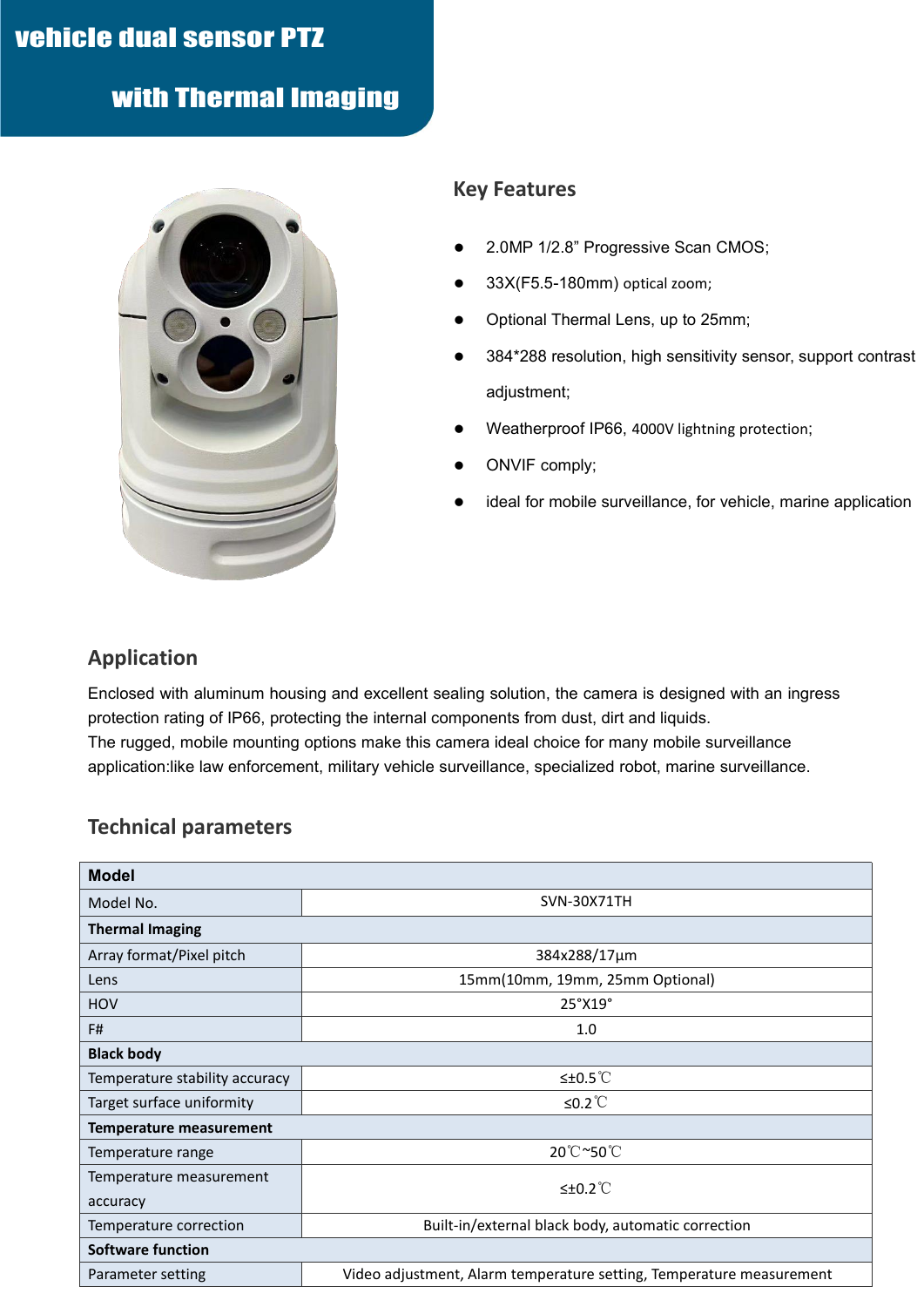# vehicle dual sensor PTZ

with Thermal Imaging



#### **Key Features**

- 2.0MP 1/2.8" Progressive Scan CMOS;
- 33X(F5.5-180mm) optical zoom;
- Optional Thermal Lens, up to 25mm;
- 384\*288 resolution, high sensitivity sensor, support contrast adjustment;
- Weatherproof IP66, 4000V lightning protection;
- ONVIF comply;
- ideal for mobile surveillance, for vehicle, marine application

#### **Application**

Enclosed with aluminum housing and excellent sealing solution, the camera is designed with an ingress protection rating of IP66, protecting the internal components from dust, dirt and liquids. The rugged, mobile mounting options make this camera ideal choice for many mobile surveillance application:like law enforcement, military vehicle surveillance, specialized robot, marine surveillance.

#### **Technical parameters**

| <b>Model</b>                   |                                                                      |
|--------------------------------|----------------------------------------------------------------------|
| Model No.                      | <b>SVN-30X71TH</b>                                                   |
| <b>Thermal Imaging</b>         |                                                                      |
| Array format/Pixel pitch       | 384x288/17µm                                                         |
| Lens                           | 15mm(10mm, 19mm, 25mm Optional)                                      |
| HOV                            | 25°X19°                                                              |
| F#                             | 1.0                                                                  |
| <b>Black body</b>              |                                                                      |
| Temperature stability accuracy | ≤±0.5 $°C$                                                           |
| Target surface uniformity      | ≤0.2 $°C$                                                            |
| <b>Temperature measurement</b> |                                                                      |
| Temperature range              | 20°C~50°C                                                            |
| Temperature measurement        | $≤±0.2^{\circ}$                                                      |
| accuracy                       |                                                                      |
| Temperature correction         | Built-in/external black body, automatic correction                   |
| <b>Software function</b>       |                                                                      |
| Parameter setting              | Video adjustment, Alarm temperature setting, Temperature measurement |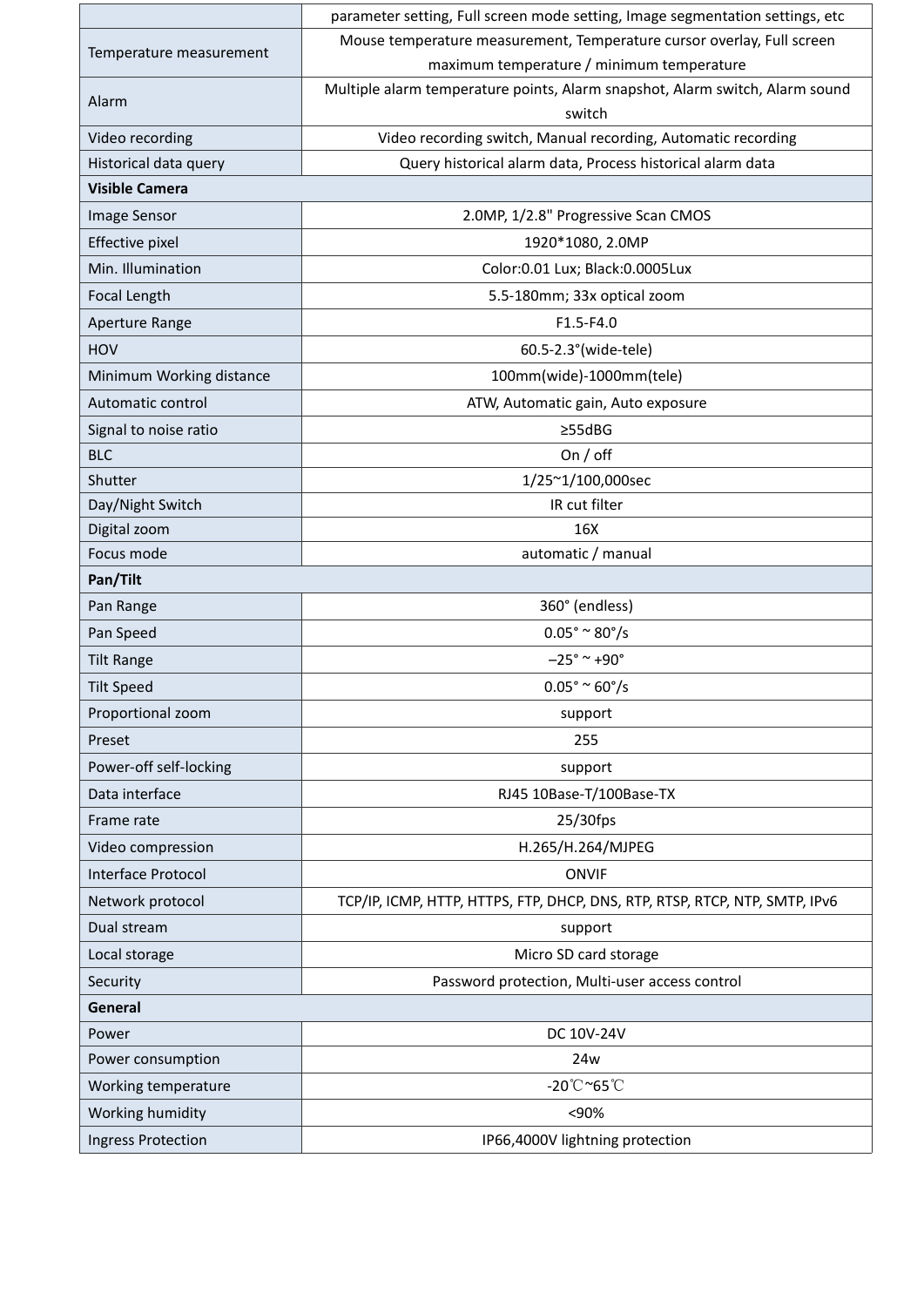|                          | parameter setting, Full screen mode setting, Image segmentation settings, etc |
|--------------------------|-------------------------------------------------------------------------------|
| Temperature measurement  | Mouse temperature measurement, Temperature cursor overlay, Full screen        |
|                          | maximum temperature / minimum temperature                                     |
| Alarm                    | Multiple alarm temperature points, Alarm snapshot, Alarm switch, Alarm sound  |
|                          | switch                                                                        |
| Video recording          | Video recording switch, Manual recording, Automatic recording                 |
| Historical data query    | Query historical alarm data, Process historical alarm data                    |
| <b>Visible Camera</b>    |                                                                               |
| Image Sensor             | 2.0MP, 1/2.8" Progressive Scan CMOS                                           |
| Effective pixel          | 1920*1080, 2.0MP                                                              |
| Min. Illumination        | Color:0.01 Lux; Black:0.0005Lux                                               |
| Focal Length             | 5.5-180mm; 33x optical zoom                                                   |
| Aperture Range           | $F1.5-F4.0$                                                                   |
| HOV                      | 60.5-2.3° (wide-tele)                                                         |
| Minimum Working distance | 100mm(wide)-1000mm(tele)                                                      |
| Automatic control        | ATW, Automatic gain, Auto exposure                                            |
| Signal to noise ratio    | $\geq$ 55dBG                                                                  |
| <b>BLC</b>               | On $/$ off                                                                    |
| Shutter                  | 1/25~1/100,000sec                                                             |
| Day/Night Switch         | IR cut filter                                                                 |
| Digital zoom             | 16X                                                                           |
| Focus mode               | automatic / manual                                                            |
| Pan/Tilt                 |                                                                               |
| Pan Range                | 360° (endless)                                                                |
| Pan Speed                | $0.05^{\circ} \approx 80^{\circ}/s$                                           |
| <b>Tilt Range</b>        | $-25^{\circ}$ ~ +90 $^{\circ}$                                                |
| <b>Tilt Speed</b>        | $0.05^{\circ} \approx 60^{\circ}/s$                                           |
| Proportional zoom        | support                                                                       |
| Preset                   | 255                                                                           |
| Power-off self-locking   | support                                                                       |
| Data interface           | RJ45 10Base-T/100Base-TX                                                      |
| Frame rate               | 25/30fps                                                                      |
| Video compression        | H.265/H.264/MJPEG                                                             |
| Interface Protocol       | <b>ONVIF</b>                                                                  |
| Network protocol         | TCP/IP, ICMP, HTTP, HTTPS, FTP, DHCP, DNS, RTP, RTSP, RTCP, NTP, SMTP, IPv6   |
| Dual stream              | support                                                                       |
| Local storage            | Micro SD card storage                                                         |
| Security                 | Password protection, Multi-user access control                                |
| General                  |                                                                               |
| Power                    | DC 10V-24V                                                                    |
| Power consumption        | 24w                                                                           |
|                          | $-20^{\circ}$ C ~65 $^{\circ}$ C                                              |
| Working temperature      |                                                                               |
| Working humidity         | <90%                                                                          |
| Ingress Protection       | IP66,4000V lightning protection                                               |